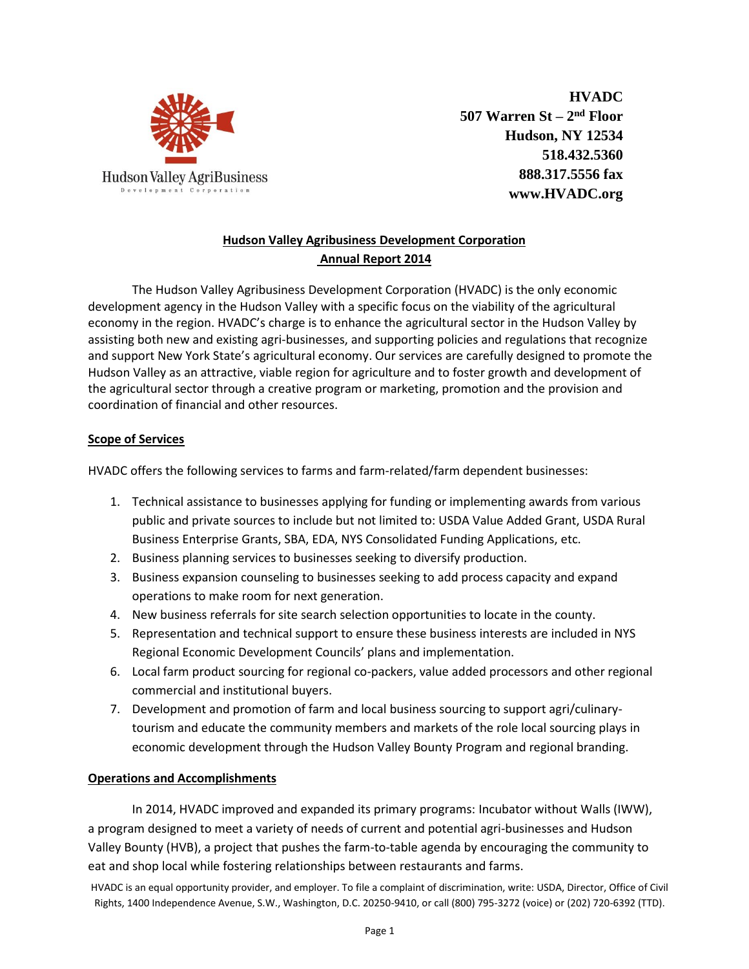

**HVADC 507 Warren St – 2 nd Floor Hudson, NY 12534 518.432.5360 888.317.5556 fax www.HVADC.org**

# **Hudson Valley Agribusiness Development Corporation Annual Report 2014**

The Hudson Valley Agribusiness Development Corporation (HVADC) is the only economic development agency in the Hudson Valley with a specific focus on the viability of the agricultural economy in the region. HVADC's charge is to enhance the agricultural sector in the Hudson Valley by assisting both new and existing agri-businesses, and supporting policies and regulations that recognize and support New York State's agricultural economy. Our services are carefully designed to promote the Hudson Valley as an attractive, viable region for agriculture and to foster growth and development of the agricultural sector through a creative program or marketing, promotion and the provision and coordination of financial and other resources.

#### **Scope of Services**

HVADC offers the following services to farms and farm-related/farm dependent businesses:

- 1. Technical assistance to businesses applying for funding or implementing awards from various public and private sources to include but not limited to: USDA Value Added Grant, USDA Rural Business Enterprise Grants, SBA, EDA, NYS Consolidated Funding Applications, etc.
- 2. Business planning services to businesses seeking to diversify production.
- 3. Business expansion counseling to businesses seeking to add process capacity and expand operations to make room for next generation.
- 4. New business referrals for site search selection opportunities to locate in the county.
- 5. Representation and technical support to ensure these business interests are included in NYS Regional Economic Development Councils' plans and implementation.
- 6. Local farm product sourcing for regional co-packers, value added processors and other regional commercial and institutional buyers.
- 7. Development and promotion of farm and local business sourcing to support agri/culinarytourism and educate the community members and markets of the role local sourcing plays in economic development through the Hudson Valley Bounty Program and regional branding.

#### **Operations and Accomplishments**

In 2014, HVADC improved and expanded its primary programs: Incubator without Walls (IWW), a program designed to meet a variety of needs of current and potential agri-businesses and Hudson Valley Bounty (HVB), a project that pushes the farm-to-table agenda by encouraging the community to eat and shop local while fostering relationships between restaurants and farms.

HVADC is an equal opportunity provider, and employer. To file a complaint of discrimination, write: USDA, Director, Office of Civil Rights, 1400 Independence Avenue, S.W., Washington, D.C. 20250-9410, or call (800) 795-3272 (voice) or (202) 720-6392 (TTD).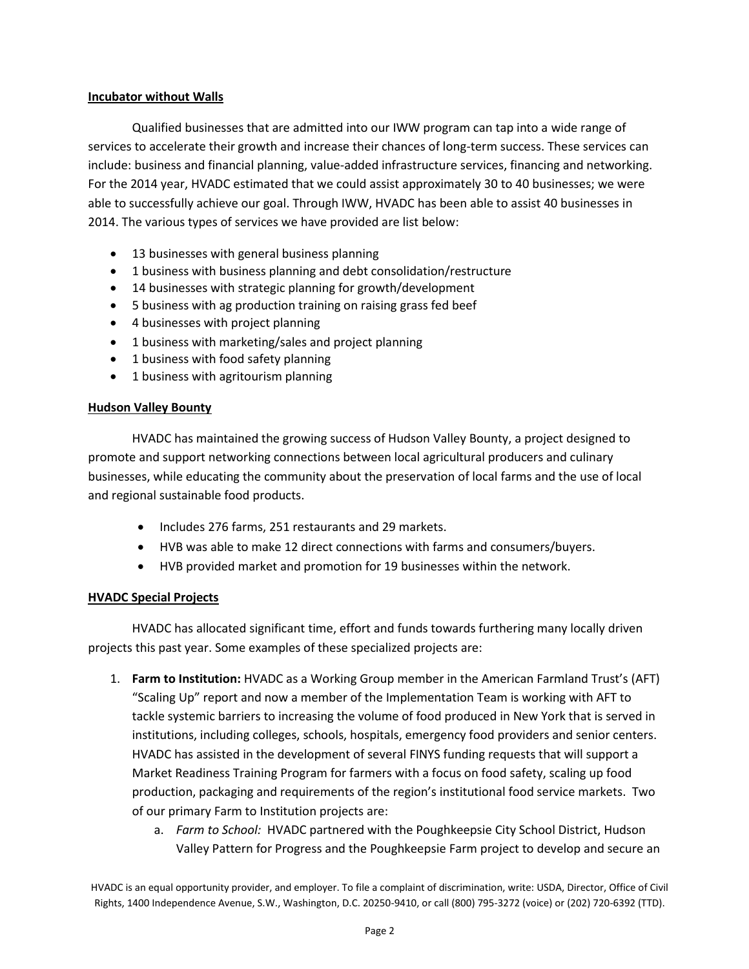#### **Incubator without Walls**

Qualified businesses that are admitted into our IWW program can tap into a wide range of services to accelerate their growth and increase their chances of long-term success. These services can include: business and financial planning, value-added infrastructure services, financing and networking. For the 2014 year, HVADC estimated that we could assist approximately 30 to 40 businesses; we were able to successfully achieve our goal. Through IWW, HVADC has been able to assist 40 businesses in 2014. The various types of services we have provided are list below:

- 13 businesses with general business planning
- 1 business with business planning and debt consolidation/restructure
- 14 businesses with strategic planning for growth/development
- 5 business with ag production training on raising grass fed beef
- 4 businesses with project planning
- 1 business with marketing/sales and project planning
- 1 business with food safety planning
- 1 business with agritourism planning

### **Hudson Valley Bounty**

HVADC has maintained the growing success of Hudson Valley Bounty, a project designed to promote and support networking connections between local agricultural producers and culinary businesses, while educating the community about the preservation of local farms and the use of local and regional sustainable food products.

- Includes 276 farms, 251 restaurants and 29 markets.
- HVB was able to make 12 direct connections with farms and consumers/buyers.
- HVB provided market and promotion for 19 businesses within the network.

## **HVADC Special Projects**

HVADC has allocated significant time, effort and funds towards furthering many locally driven projects this past year. Some examples of these specialized projects are:

- 1. **Farm to Institution:** HVADC as a Working Group member in the American Farmland Trust's (AFT) "Scaling Up" report and now a member of the Implementation Team is working with AFT to tackle systemic barriers to increasing the volume of food produced in New York that is served in institutions, including colleges, schools, hospitals, emergency food providers and senior centers. HVADC has assisted in the development of several FINYS funding requests that will support a Market Readiness Training Program for farmers with a focus on food safety, scaling up food production, packaging and requirements of the region's institutional food service markets. Two of our primary Farm to Institution projects are:
	- a. *Farm to School:* HVADC partnered with the Poughkeepsie City School District, Hudson Valley Pattern for Progress and the Poughkeepsie Farm project to develop and secure an

HVADC is an equal opportunity provider, and employer. To file a complaint of discrimination, write: USDA, Director, Office of Civil Rights, 1400 Independence Avenue, S.W., Washington, D.C. 20250-9410, or call (800) 795-3272 (voice) or (202) 720-6392 (TTD).